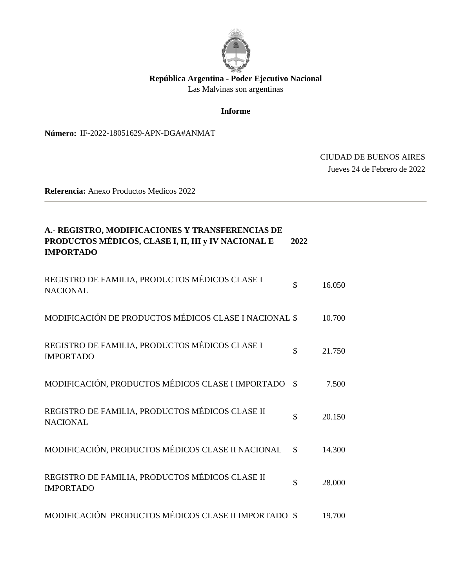

## **República Argentina - Poder Ejecutivo Nacional**

Las Malvinas son argentinas

#### **Informe**

Número: IF-2022-18051629-APN-DGA#ANMAT

# IF-2022-18051629-APN-DGA#ANMAT $\,$  CIUDAD DE BUENOS AIRES  $\,$  Jueves 24 de Febrero de 2022

**Referencia:** Anexo Productos Medicos 2022

| A.- REGISTRO, MODIFICACIONES Y TRANSFERENCIAS DE<br>PRODUCTOS MÉDICOS, CLASE I, II, III y IV NACIONAL E<br><b>IMPORTADO</b> | 2022          |        |
|-----------------------------------------------------------------------------------------------------------------------------|---------------|--------|
| REGISTRO DE FAMILIA, PRODUCTOS MÉDICOS CLASE I<br><b>NACIONAL</b>                                                           | \$            | 16.050 |
| MODIFICACIÓN DE PRODUCTOS MÉDICOS CLASE I NACIONAL \$                                                                       |               | 10.700 |
| REGISTRO DE FAMILIA, PRODUCTOS MÉDICOS CLASE I<br><b>IMPORTADO</b>                                                          | \$            | 21.750 |
| MODIFICACIÓN, PRODUCTOS MÉDICOS CLASE I IMPORTADO                                                                           | $\mathcal{S}$ | 7.500  |
| REGISTRO DE FAMILIA, PRODUCTOS MÉDICOS CLASE II<br><b>NACIONAL</b>                                                          | \$            | 20.150 |
| MODIFICACIÓN, PRODUCTOS MÉDICOS CLASE II NACIONAL                                                                           | $\mathcal{S}$ | 14.300 |
| REGISTRO DE FAMILIA, PRODUCTOS MÉDICOS CLASE II<br><b>IMPORTADO</b>                                                         | \$            | 28.000 |
| MODIFICACIÓN PRODUCTOS MÉDICOS CLASE II IMPORTADO \$                                                                        |               | 19.700 |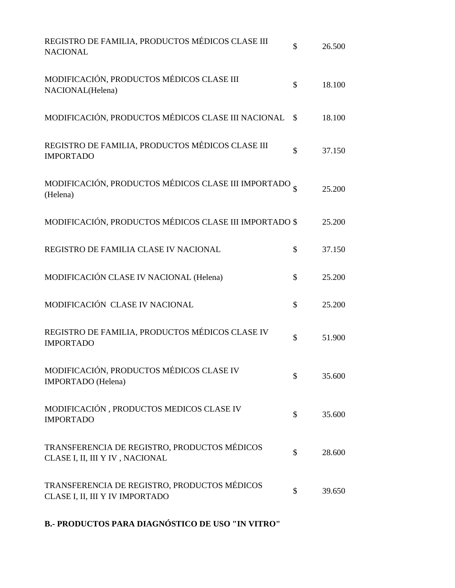| REGISTRO DE FAMILIA, PRODUCTOS MÉDICOS CLASE III<br><b>NACIONAL</b>             | \$            | 26.500 |
|---------------------------------------------------------------------------------|---------------|--------|
| MODIFICACIÓN, PRODUCTOS MÉDICOS CLASE III<br>NACIONAL(Helena)                   | \$            | 18.100 |
| MODIFICACIÓN, PRODUCTOS MÉDICOS CLASE III NACIONAL                              | $\mathcal{S}$ | 18.100 |
| REGISTRO DE FAMILIA, PRODUCTOS MÉDICOS CLASE III<br><b>IMPORTADO</b>            | \$            | 37.150 |
| MODIFICACIÓN, PRODUCTOS MÉDICOS CLASE III IMPORTADO $_{\S}$<br>(Helena)         |               | 25.200 |
| MODIFICACIÓN, PRODUCTOS MÉDICOS CLASE III IMPORTADO \$                          |               | 25.200 |
| REGISTRO DE FAMILIA CLASE IV NACIONAL                                           | \$            | 37.150 |
| MODIFICACIÓN CLASE IV NACIONAL (Helena)                                         | \$            | 25.200 |
| MODIFICACIÓN CLASE IV NACIONAL                                                  | \$            | 25.200 |
| REGISTRO DE FAMILIA, PRODUCTOS MÉDICOS CLASE IV<br><b>IMPORTADO</b>             | \$            | 51.900 |
| MODIFICACIÓN, PRODUCTOS MÉDICOS CLASE IV<br>IMPORTADO (Helena)                  | \$            | 35.600 |
| MODIFICACIÓN, PRODUCTOS MEDICOS CLASE IV<br><b>IMPORTADO</b>                    | \$            | 35.600 |
| TRANSFERENCIA DE REGISTRO, PRODUCTOS MÉDICOS<br>CLASE I, II, III Y IV, NACIONAL | \$            | 28.600 |
| TRANSFERENCIA DE REGISTRO, PRODUCTOS MÉDICOS<br>CLASE I, II, III Y IV IMPORTADO | \$            | 39.650 |

**B.- PRODUCTOS PARA DIAGNÓSTICO DE USO "IN VITRO"**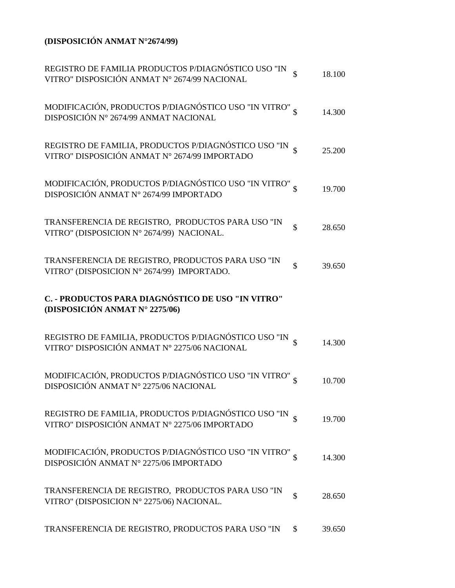## **(DISPOSICIÓN ANMAT N°2674/99)**

| REGISTRO DE FAMILIA PRODUCTOS P/DIAGNÓSTICO USO "IN VITRO" DISPOSICIÓN ANMAT $\mathrm{N}^\circ$ 2674/99 NACIONAL  | $\mathcal{S}$ | 18.100 |
|-------------------------------------------------------------------------------------------------------------------|---------------|--------|
| MODIFICACIÓN, PRODUCTOS P/DIAGNÓSTICO USO "IN VITRO" S<br>DISPOSICIÓN Nº 2674/99 ANMAT NACIONAL                   |               | 14.300 |
| REGISTRO DE FAMILIA, PRODUCTOS P/DIAGNÓSTICO USO "IN $$\mathbb{S}$$ VITRO" DISPOSICIÓN ANMAT N° 2674/99 IMPORTADO |               | 25.200 |
| MODIFICACIÓN, PRODUCTOS P/DIAGNÓSTICO USO "IN VITRO" $\,$ DISPOSICIÓN ANMAT N° 2674/99 IMPORTADO                  |               | 19.700 |
| TRANSFERENCIA DE REGISTRO, PRODUCTOS PARA USO "IN<br>VITRO" (DISPOSICION Nº 2674/99) NACIONAL.                    | $\mathcal{S}$ | 28.650 |
| TRANSFERENCIA DE REGISTRO, PRODUCTOS PARA USO "IN<br>VITRO" (DISPOSICION Nº 2674/99) IMPORTADO.                   | $\mathbb{S}$  | 39.650 |
| C. - PRODUCTOS PARA DIAGNÓSTICO DE USO "IN VITRO"<br>(DISPOSICIÓN ANMAT Nº 2275/06)                               |               |        |
| REGISTRO DE FAMILIA, PRODUCTOS P/DIAGNÓSTICO USO "IN S<br>VITRO" DISPOSICIÓN ANMAT Nº 2275/06 NACIONAL            |               | 14.300 |
| MODIFICACIÓN, PRODUCTOS P/DIAGNÓSTICO USO "IN VITRO" $_{\S}$<br>DISPOSICIÓN ANMAT Nº 2275/06 NACIONAL             |               | 10.700 |
| REGISTRO DE FAMILIA, PRODUCTOS P/DIAGNÓSTICO USO "IN<br>VITRO" DISPOSICIÓN ANMAT Nº 2275/06 IMPORTADO             |               | 19.700 |
| MODIFICACIÓN, PRODUCTOS P/DIAGNÓSTICO USO "IN VITRO" $_{\S}$<br>DISPOSICIÓN ANMAT Nº 2275/06 IMPORTADO            |               | 14.300 |
| TRANSFERENCIA DE REGISTRO, PRODUCTOS PARA USO "IN<br>VITRO" (DISPOSICION Nº 2275/06) NACIONAL.                    | \$            | 28.650 |
| TRANSFERENCIA DE REGISTRO, PRODUCTOS PARA USO "IN                                                                 | \$            | 39.650 |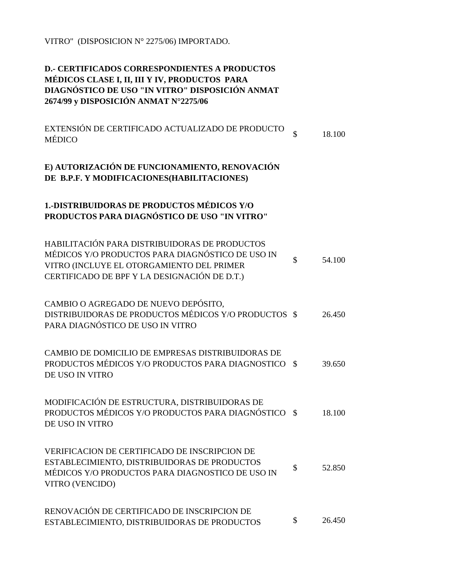VITRO" (DISPOSICION N° 2275/06) IMPORTADO.

#### **D.- CERTIFICADOS CORRESPONDIENTES A PRODUCTOS MÉDICOS CLASE I, II, III Y IV, PRODUCTOS PARA DIAGNÓSTICO DE USO "IN VITRO" DISPOSICIÓN ANMAT 2674/99 y DISPOSICIÓN ANMAT N°2275/06**

EXTENSIÓN DE CERTIFICADO ACTUALIZADO DE PRODUCTO  $\quad \ \ \, \text{\tiny$\$}}$ 18.100

#### **E) AUTORIZACIÓN DE FUNCIONAMIENTO, RENOVACIÓN DE B.P.F. Y MODIFICACIONES(HABILITACIONES)**

## **1.-DISTRIBUIDORAS DE PRODUCTOS MÉDICOS Y/O PRODUCTOS PARA DIAGNÓSTICO DE USO "IN VITRO"**

| HABILITACIÓN PARA DISTRIBUIDORAS DE PRODUCTOS<br>MÉDICOS Y/O PRODUCTOS PARA DIAGNÓSTICO DE USO IN<br>VITRO (INCLUYE EL OTORGAMIENTO DEL PRIMER<br>CERTIFICADO DE BPF Y LA DESIGNACIÓN DE D.T.) | \$            | 54.100 |
|------------------------------------------------------------------------------------------------------------------------------------------------------------------------------------------------|---------------|--------|
| CAMBIO O AGREGADO DE NUEVO DEPÓSITO,<br>DISTRIBUIDORAS DE PRODUCTOS MÉDICOS Y/O PRODUCTOS \$<br>PARA DIAGNÓSTICO DE USO IN VITRO                                                               |               | 26.450 |
| CAMBIO DE DOMICILIO DE EMPRESAS DISTRIBUIDORAS DE<br>PRODUCTOS MÉDICOS Y/O PRODUCTOS PARA DIAGNOSTICO<br>DE USO IN VITRO                                                                       | $\mathcal{S}$ | 39.650 |
| MODIFICACIÓN DE ESTRUCTURA, DISTRIBUIDORAS DE<br>PRODUCTOS MÉDICOS Y/O PRODUCTOS PARA DIAGNÓSTICO<br>DE USO IN VITRO                                                                           | - \$          | 18.100 |
| <b>VERIFICACION DE CERTIFICADO DE INSCRIPCION DE</b><br>ESTABLECIMIENTO, DISTRIBUIDORAS DE PRODUCTOS<br>MÉDICOS Y/O PRODUCTOS PARA DIAGNOSTICO DE USO IN<br>VITRO (VENCIDO)                    | \$            | 52.850 |
| RENOVACIÓN DE CERTIFICADO DE INSCRIPCION DE<br>ESTABLECIMIENTO, DISTRIBUIDORAS DE PRODUCTOS                                                                                                    | \$            | 26.450 |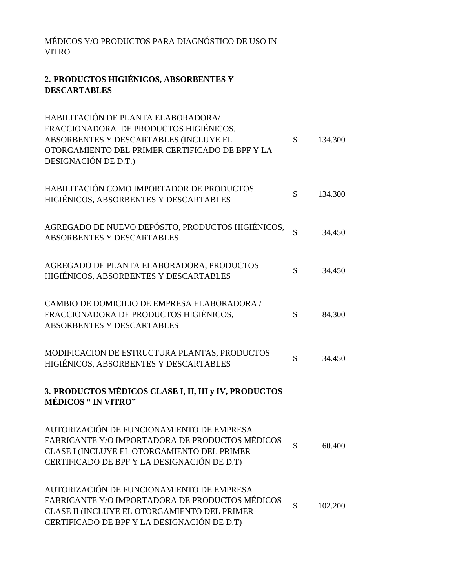MÉDICOS Y/O PRODUCTOS PARA DIAGNÓSTICO DE USO IN VITRO

## **2.-PRODUCTOS HIGIÉNICOS, ABSORBENTES Y DESCARTABLES**

| HABILITACIÓN DE PLANTA ELABORADORA/<br>FRACCIONADORA DE PRODUCTOS HIGIÉNICOS,<br>ABSORBENTES Y DESCARTABLES (INCLUYE EL<br>OTORGAMIENTO DEL PRIMER CERTIFICADO DE BPF Y LA<br>DESIGNACIÓN DE D.T.) | $\mathcal{S}$      | 134.300 |
|----------------------------------------------------------------------------------------------------------------------------------------------------------------------------------------------------|--------------------|---------|
| HABILITACIÓN COMO IMPORTADOR DE PRODUCTOS<br>HIGIÉNICOS, ABSORBENTES Y DESCARTABLES                                                                                                                | $\mathcal{S}$      | 134.300 |
| AGREGADO DE NUEVO DEPÓSITO, PRODUCTOS HIGIÉNICOS,<br><b>ABSORBENTES Y DESCARTABLES</b>                                                                                                             | \$                 | 34.450  |
| AGREGADO DE PLANTA ELABORADORA, PRODUCTOS<br>HIGIÉNICOS, ABSORBENTES Y DESCARTABLES                                                                                                                | \$                 | 34.450  |
| CAMBIO DE DOMICILIO DE EMPRESA ELABORADORA /<br>FRACCIONADORA DE PRODUCTOS HIGIÉNICOS,<br>ABSORBENTES Y DESCARTABLES                                                                               | \$                 | 84.300  |
| MODIFICACION DE ESTRUCTURA PLANTAS, PRODUCTOS<br>HIGIÉNICOS, ABSORBENTES Y DESCARTABLES                                                                                                            | \$                 | 34.450  |
| 3.-PRODUCTOS MÉDICOS CLASE I, II, III y IV, PRODUCTOS<br><b>MÉDICOS " IN VITRO"</b>                                                                                                                |                    |         |
| AUTORIZACIÓN DE FUNCIONAMIENTO DE EMPRESA<br>FABRICANTE Y/O IMPORTADORA DE PRODUCTOS MÉDICOS<br>CLASE I (INCLUYE EL OTORGAMIENTO DEL PRIMER<br>CERTIFICADO DE BPF Y LA DESIGNACIÓN DE D.T)         | \$                 | 60.400  |
| AUTORIZACIÓN DE FUNCIONAMIENTO DE EMPRESA<br>FABRICANTE Y/O IMPORTADORA DE PRODUCTOS MÉDICOS<br>CLASE II (INCLUYE EL OTORGAMIENTO DEL PRIMER<br>CERTIFICADO DE BPF Y LA DESIGNACIÓN DE D.T)        | $\mathbf{\hat{S}}$ | 102.200 |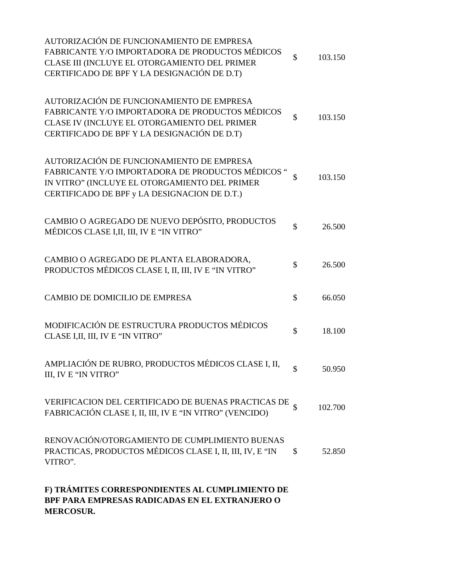| F) TRÁMITES CORRESPONDIENTES AL CUMPLIMIENTO DE<br>BPF PARA EMPRESAS RADICADAS EN EL EXTRANJERO O<br><b>MERCOSUR.</b>                                                                           |                    |         |
|-------------------------------------------------------------------------------------------------------------------------------------------------------------------------------------------------|--------------------|---------|
| RENOVACIÓN/OTORGAMIENTO DE CUMPLIMIENTO BUENAS<br>PRACTICAS, PRODUCTOS MÉDICOS CLASE I, II, III, IV, E "IN<br>VITRO".                                                                           | \$                 | 52.850  |
| VERIFICACION DEL CERTIFICADO DE BUENAS PRACTICAS DE<br>FABRICACIÓN CLASE I, II, III, IV E "IN VITRO" (VENCIDO)                                                                                  |                    | 102.700 |
| AMPLIACIÓN DE RUBRO, PRODUCTOS MÉDICOS CLASE I, II,<br>III, IV E "IN VITRO"                                                                                                                     |                    | 50.950  |
| MODIFICACIÓN DE ESTRUCTURA PRODUCTOS MÉDICOS<br>CLASE I, II, III, IV E "IN VITRO"                                                                                                               | \$                 | 18.100  |
| CAMBIO DE DOMICILIO DE EMPRESA                                                                                                                                                                  | $\mathbb{S}$       | 66.050  |
| CAMBIO O AGREGADO DE PLANTA ELABORADORA,<br>PRODUCTOS MÉDICOS CLASE I, II, III, IV E "IN VITRO"                                                                                                 | \$                 | 26.500  |
| CAMBIO O AGREGADO DE NUEVO DEPÓSITO, PRODUCTOS<br>MÉDICOS CLASE I,II, III, IV E "IN VITRO"                                                                                                      | \$                 | 26.500  |
| AUTORIZACIÓN DE FUNCIONAMIENTO DE EMPRESA<br>FABRICANTE Y/O IMPORTADORA DE PRODUCTOS MÉDICOS "<br>IN VITRO" (INCLUYE EL OTORGAMIENTO DEL PRIMER<br>CERTIFICADO DE BPF y LA DESIGNACION DE D.T.) | $\mathbf{\hat{S}}$ | 103.150 |
| AUTORIZACIÓN DE FUNCIONAMIENTO DE EMPRESA<br>FABRICANTE Y/O IMPORTADORA DE PRODUCTOS MÉDICOS<br>CLASE IV (INCLUYE EL OTORGAMIENTO DEL PRIMER<br>CERTIFICADO DE BPF Y LA DESIGNACIÓN DE D.T)     | $\mathbf{\hat{S}}$ | 103.150 |
| AUTORIZACIÓN DE FUNCIONAMIENTO DE EMPRESA<br>FABRICANTE Y/O IMPORTADORA DE PRODUCTOS MÉDICOS<br>CLASE III (INCLUYE EL OTORGAMIENTO DEL PRIMER<br>CERTIFICADO DE BPF Y LA DESIGNACIÓN DE D.T)    | $\mathcal{S}$      | 103.150 |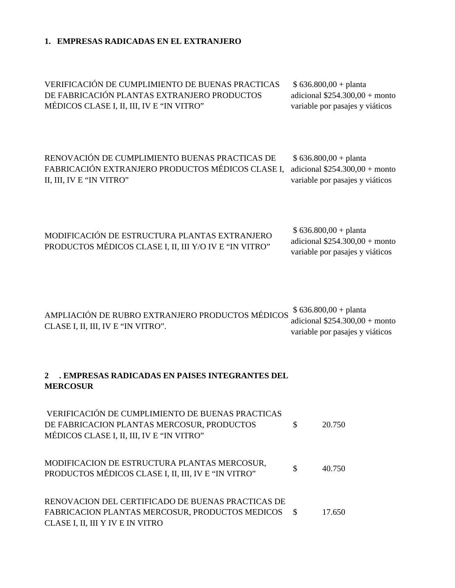#### **1. EMPRESAS RADICADAS EN EL EXTRANJERO**

VERIFICACIÓN DE CUMPLIMIENTO DE BUENAS PRACTICAS DE FABRICACIÓN PLANTAS EXTRANJERO PRODUCTOS MÉDICOS CLASE I, II, III, IV E "IN VITRO"

 \$ 636.800,00 + planta adicional \$254.300,00 + monto variable por pasajes y viáticos

RENOVACIÓN DE CUMPLIMIENTO BUENAS PRACTICAS DE FABRICACIÓN EXTRANJERO PRODUCTOS MÉDICOS CLASE I, adicional \$254.300,00 + monto II, III, IV E "IN VITRO" \$ 636.800,00 + planta variable por pasajes y viáticos

| MODIFICACIÓN DE ESTRUCTURA PLANTAS EXTRANJERO          | $$636.800,00+$ planta           |
|--------------------------------------------------------|---------------------------------|
| PRODUCTOS MÉDICOS CLASE I, II, III Y/O IV E "IN VITRO" | adicional $$254.300,00+$ monto  |
|                                                        | variable por pasajes y viáticos |

| AMPLIACIÓN DE RUBRO EXTRANJERO PRODUCTOS MÉDICOS \$636.800,00 + planta<br>adicional $$254.300,00+$ monto<br>CLASE I, II, III, IV E "IN VITRO".<br>variable por pasajes y viáticos |
|-----------------------------------------------------------------------------------------------------------------------------------------------------------------------------------|
|-----------------------------------------------------------------------------------------------------------------------------------------------------------------------------------|

#### **2 . EMPRESAS RADICADAS EN PAISES INTEGRANTES DEL MERCOSUR**

| VERIFICACIÓN DE CUMPLIMIENTO DE BUENAS PRACTICAS<br>DE FABRICACION PLANTAS MERCOSUR, PRODUCTOS<br>MÉDICOS CLASE I, II, III, IV E "IN VITRO" | \$. | 20.750 |
|---------------------------------------------------------------------------------------------------------------------------------------------|-----|--------|
| MODIFICACION DE ESTRUCTURA PLANTAS MERCOSUR,<br>PRODUCTOS MÉDICOS CLASE I, II, III, IV E "IN VITRO"                                         | \$  | 40.750 |
| RENOVACION DEL CERTIFICADO DE BUENAS PRACTICAS DE<br>FABRICACION PLANTAS MERCOSUR, PRODUCTOS MEDICOS \$<br>CLASE I, II, III Y IV E IN VITRO |     | 17.650 |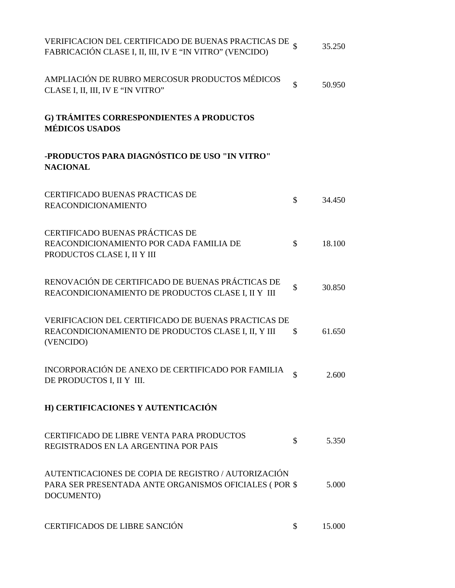| VERIFICACION DEL CERTIFICADO DE BUENAS PRACTICAS DE $_{\S}$<br>FABRICACIÓN CLASE I, II, III, IV E "IN VITRO" (VENCIDO)     |               | 35.250 |
|----------------------------------------------------------------------------------------------------------------------------|---------------|--------|
| AMPLIACIÓN DE RUBRO MERCOSUR PRODUCTOS MÉDICOS<br>CLASE I, II, III, IV E "IN VITRO"                                        | \$            | 50.950 |
| G) TRÁMITES CORRESPONDIENTES A PRODUCTOS<br><b>MÉDICOS USADOS</b>                                                          |               |        |
| -PRODUCTOS PARA DIAGNÓSTICO DE USO "IN VITRO"<br><b>NACIONAL</b>                                                           |               |        |
| CERTIFICADO BUENAS PRACTICAS DE<br><b>REACONDICIONAMIENTO</b>                                                              | \$            | 34.450 |
| CERTIFICADO BUENAS PRÁCTICAS DE<br>REACONDICIONAMIENTO POR CADA FAMILIA DE<br>PRODUCTOS CLASE I, II Y III                  | $\mathbb{S}$  | 18.100 |
| RENOVACIÓN DE CERTIFICADO DE BUENAS PRÁCTICAS DE<br>REACONDICIONAMIENTO DE PRODUCTOS CLASE I, II Y III                     | \$            | 30.850 |
| VERIFICACION DEL CERTIFICADO DE BUENAS PRACTICAS DE<br>REACONDICIONAMIENTO DE PRODUCTOS CLASE I, II, Y III<br>(VENCIDO)    | $\mathcal{S}$ | 61.650 |
| INCORPORACIÓN DE ANEXO DE CERTIFICADO POR FAMILIA<br>DE PRODUCTOS I, II Y III.                                             | \$            | 2.600  |
| H) CERTIFICACIONES Y AUTENTICACIÓN                                                                                         |               |        |
| <b>CERTIFICADO DE LIBRE VENTA PARA PRODUCTOS</b><br>REGISTRADOS EN LA ARGENTINA POR PAIS                                   | \$            | 5.350  |
| AUTENTICACIONES DE COPIA DE REGISTRO / AUTORIZACIÓN<br>PARA SER PRESENTADA ANTE ORGANISMOS OFICIALES (POR \$<br>DOCUMENTO) |               | 5.000  |
| CERTIFICADOS DE LIBRE SANCIÓN                                                                                              | \$            | 15.000 |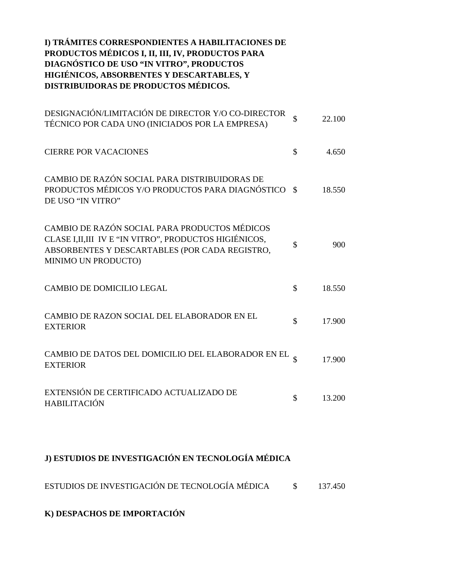### **I) TRÁMITES CORRESPONDIENTES A HABILITACIONES DE PRODUCTOS MÉDICOS I, II, III, IV, PRODUCTOS PARA DIAGNÓSTICO DE USO "IN VITRO", PRODUCTOS HIGIÉNICOS, ABSORBENTES Y DESCARTABLES, Y DISTRIBUIDORAS DE PRODUCTOS MÉDICOS.**

| DESIGNACIÓN/LIMITACIÓN DE DIRECTOR Y/O CO-DIRECTOR<br>TÉCNICO POR CADA UNO (INICIADOS POR LA EMPRESA)                                                                             | \$<br>22.100 |
|-----------------------------------------------------------------------------------------------------------------------------------------------------------------------------------|--------------|
| <b>CIERRE POR VACACIONES</b>                                                                                                                                                      | \$<br>4.650  |
| CAMBIO DE RAZÓN SOCIAL PARA DISTRIBUIDORAS DE<br>PRODUCTOS MÉDICOS Y/O PRODUCTOS PARA DIAGNÓSTICO \$<br>DE USO "IN VITRO"                                                         | 18.550       |
| CAMBIO DE RAZÓN SOCIAL PARA PRODUCTOS MÉDICOS<br>CLASE I, II, III IV E "IN VITRO", PRODUCTOS HIGIÉNICOS,<br>ABSORBENTES Y DESCARTABLES (POR CADA REGISTRO,<br>MINIMO UN PRODUCTO) | \$<br>900    |
| <b>CAMBIO DE DOMICILIO LEGAL</b>                                                                                                                                                  | \$<br>18.550 |
| CAMBIO DE RAZON SOCIAL DEL ELABORADOR EN EL<br><b>EXTERIOR</b>                                                                                                                    | \$<br>17.900 |
| CAMBIO DE DATOS DEL DOMICILIO DEL ELABORADOR EN EL<br><b>EXTERIOR</b>                                                                                                             | 17.900       |
| EXTENSIÓN DE CERTIFICADO ACTUALIZADO DE<br><b>HABILITACIÓN</b>                                                                                                                    | \$<br>13.200 |

## **J) ESTUDIOS DE INVESTIGACIÓN EN TECNOLOGÍA MÉDICA**

ESTUDIOS DE INVESTIGACIÓN DE TECNOLOGÍA MÉDICA \$ 137.450

**K) DESPACHOS DE IMPORTACIÓN**